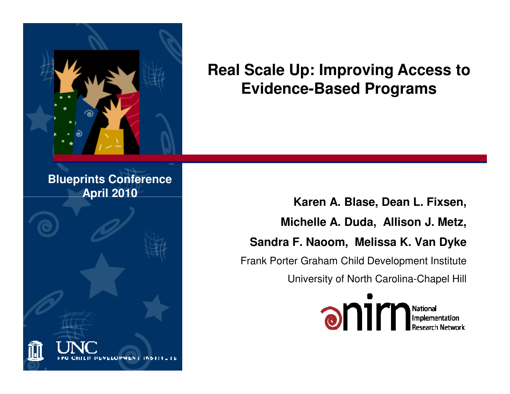

#### **Real Scale Up: Improving Access to Evidence-Based Programs**

#### **Blueprints ConferenceApril 2010**



**Karen A. Blase, Dean L. Fixsen, Michelle A. Duda, Allison J. Metz, Sandra F. Naoom, Melissa K. Van Dyke**Frank Porter Graham Child Development Institute

University of North Carolina-Chapel Hill

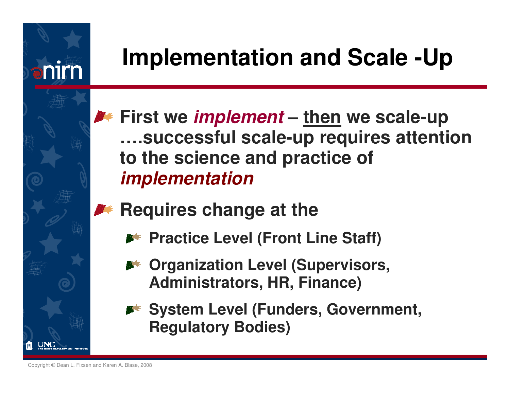

## **Implementation and Scale -Up**

- **First we implement – then we scale-up ….successful scale-up requires attention to the science and practice of implementation**
- **Requires change at the** 
	- **Practice Level (Front Line Staff)**
	- **Example 20 Arrow Music Arrow Drepsisors, Arrow Level (Supervisors, Administrators, HR, Finance)**
	- **System Level (Funders, Government, Regulatory Bodies)**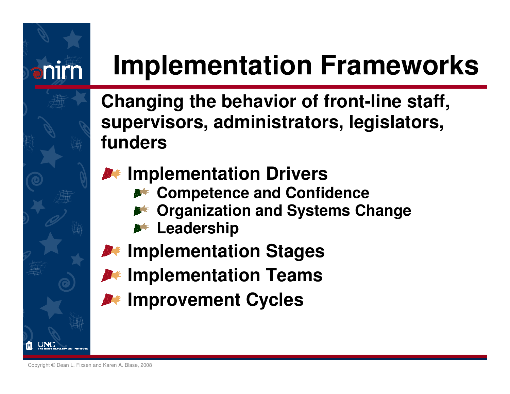# **Implementation Frameworks**

**Changing the behavior of front-line staff,supervisors, administrators, legislators,funders**

#### *I* Implementation Drivers

- **Competence and Confidence**
- **Organization and Systems Change**
- **Leadership**
- *I* Implementation Stages
- *I* Implementation Teams
- **Improvement Cycles**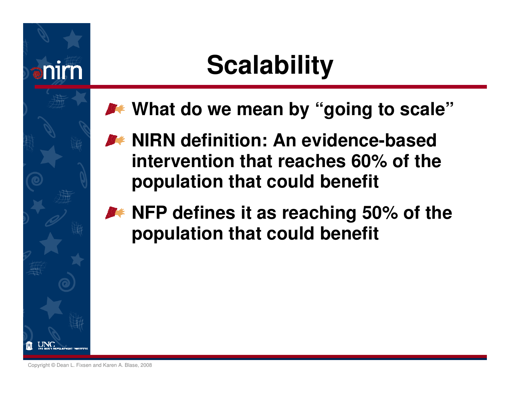## **Scalability**

- **What do we mean by "going to scale"**
- **M** NIRN definition: An evidence-based **intervention that reaches 60% of the population that could benefit**
- **A** NFP defines it as reaching 50% of the **population that could benefit**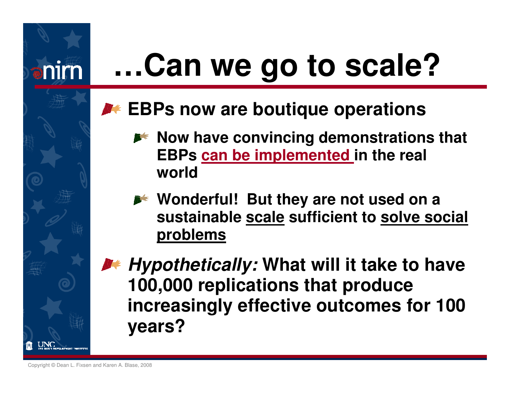# **…Can we go to scale?**

#### **EBPs now are boutique operations**

- **Now have convincing demonstrations that EBPs can be implemented in the real world**
- **Wonderful! But they are not used on a sustainable scale sufficient to solve social problems**

**Hypothetically: What will it take to have 100,000 replications that produce increasingly effective outcomes for 100 years?**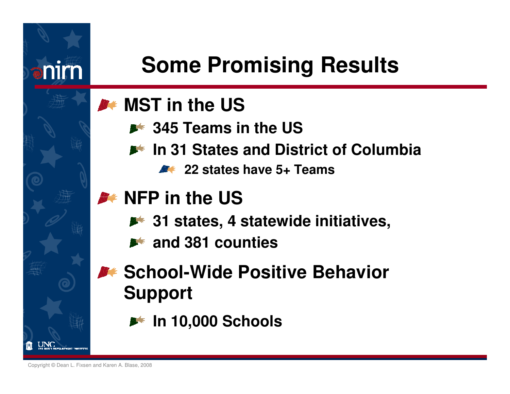

#### **MST** in the US

- **345 Teams in the US**
- **In 31 States and District of Columbia**
	- **22 states have 5+ Teams**

#### **NFP** in the US

- **31 states, 4 statewide initiatives,**
- **A** and 381 counties

#### **BEXA:** School-Wide Positive Behavior **Support**

**In 10,000 Schools**

Copyright © Dean L. Fixsen and Karen A. Blase, 2008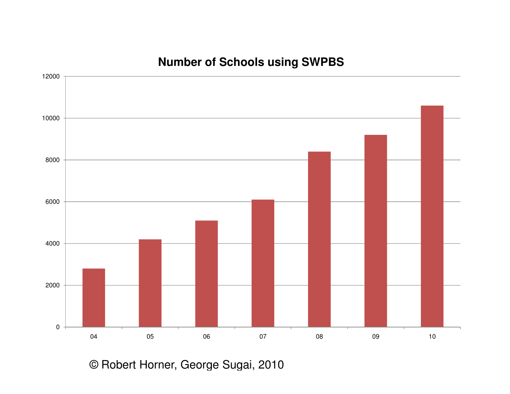#### **Number of Schools using SWPBS**



© Robert Horner, George Sugai, 2010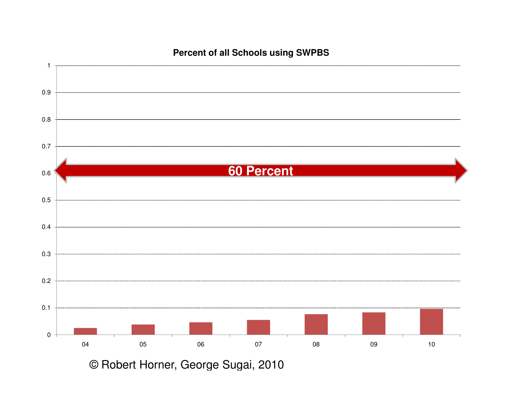

**Percent of all Schools using SWPBS**

© Robert Horner, George Sugai, 2010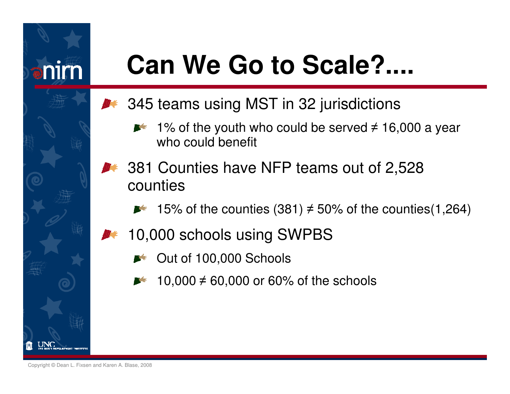

# **Can We Go to Scale?....**

- **345 teams using MST in 32 jurisdictions** 
	- 1% of the youth who could be served ≠ 16,000 a year who could benefit
	- 381 Counties have NFP teams out of 2,528 counties
		- 15% of the counties (381) ≠ 50% of the counties(1,264) **BAR**
		- 10,000 schools using SWPBS
			- Out of 100,000 Schools
			- 10,000 ≠ 60,000 or 60% of the schools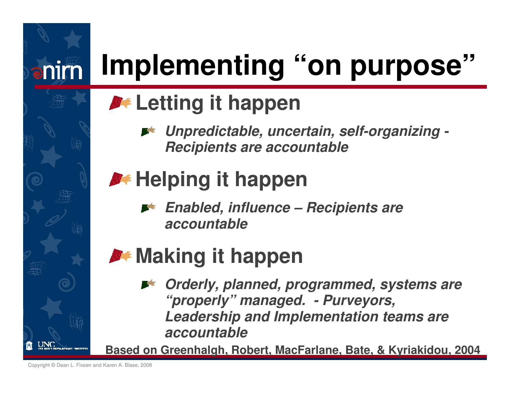# **Implementing "on purpose"**

### **A** Letting it happen

**Unpredictable, uncertain, self-organizing -Recipients are accountable**

## **M** Helping it happen

**Enabled, influence – Recipients are accountable**

### **Making it happen**

**Orderly, planned, programmed, systems are "properly" managed. - Purveyors, Leadership and Implementation teams are accountable**

**Based on Greenhalgh, Robert, MacFarlane, Bate, & Kyriakidou, 2004**

Copyright © Dean L. Fixsen and Karen A. Blase, 2008

anirn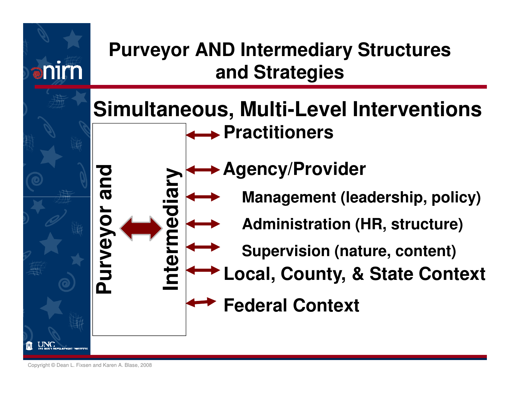

Copyright © Dean L. Fixsen and Karen A. Blase, 2008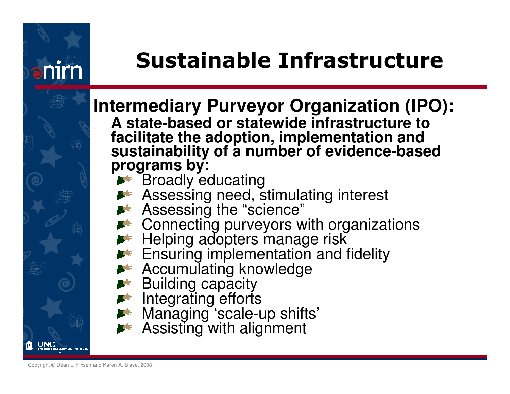

### Sustainable Infrastructure

**Intermediary Purveyor Organization (IPO):A state-based or statewide infrastructure to** facilitate the adoption, implementation and<br>sustainability of a number of evidence-based<br>programs by:

- Broadly educating
	- Assessing need, stimulating interest
- Assessing the "science"
	- Connecting purveyors with organizations
- **Helping adopters manage risk** 
	- Ensuring implementation and fidelity
- **Accumulating knowledge** 
	- **Building capacity**
	- Integrating efforts
	- Managing 'scale-up shifts'
	- Assisting with alignment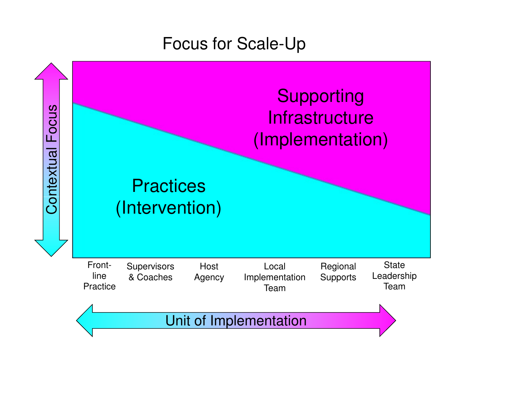#### Focus for Scale-Up

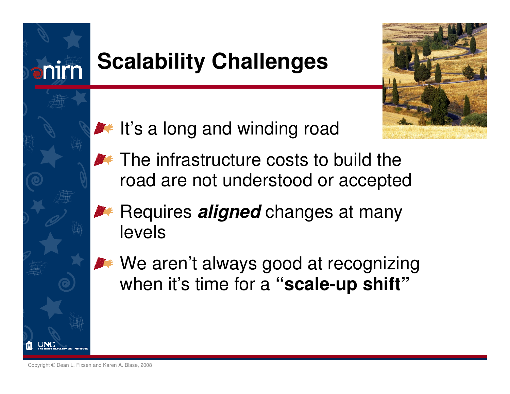

### **Scalability Challenges**



- $\blacktriangleright$  It's a long and winding road
- **The infrastructure costs to build the** road are not understood or accepted
	- Requires **aligned** changes at many levels
- We aren't always good at recognizing when it's time for a "scale-up shift"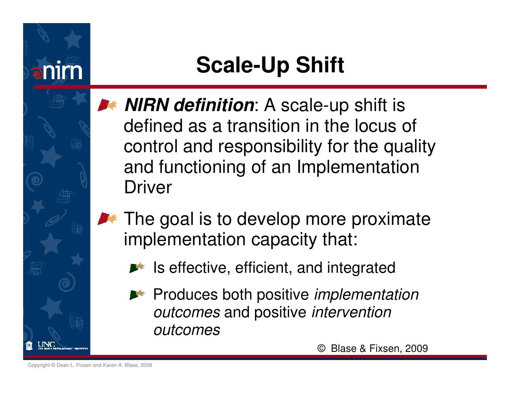

### **Scale-Up Shift**

- **NIRN definition:** A scale-up shift is defined as a transition in the locus of control and responsibility for the quality and functioning of an Implementation Driver
- $\blacktriangleright$  The goal is to develop more proximate implementation capacity that:
	- $\blacktriangleright$  Is effective, efficient, and integrated
	- **P** Produces both positive *implementation* outcomes and positive *intervention* outcomes

© Blase & Fixsen, 2009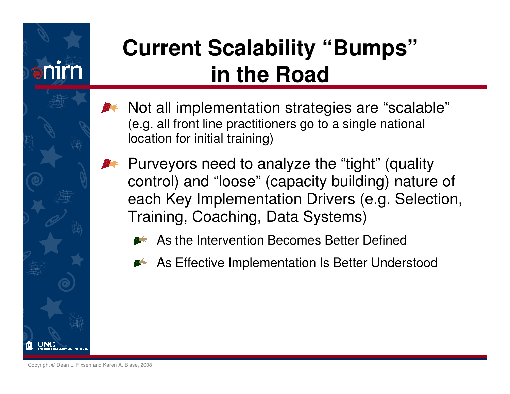

### **Current Scalability "Bumps" in the Road**

- Not all implementation strategies are "scalable"  $\bullet$ (e.g. all front line practitioners go to a single national location for initial training)
	- Purveyors need to analyze the "tight" (quality control) and "loose" (capacity building) nature of each Key Implementation Drivers (e.g. Selection, Training, Coaching, Data Systems)
		- As the Intervention Becomes Better Defined
		- As Effective Implementation Is Better Understood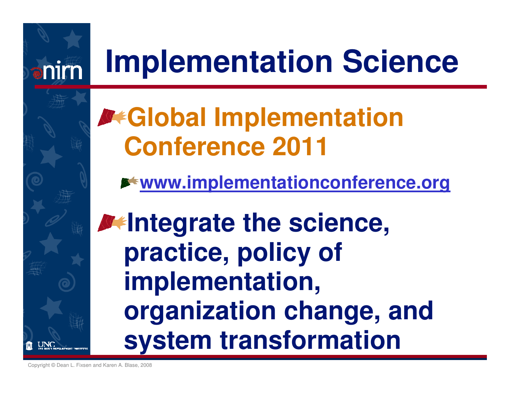# **Implementation Science**

## **Global Implementation Conference 2011**

**www.implementationconference.org**

**Integrate the science, practice, policy of implementation, organization change, and system transformation**

Copyright © Dean L. Fixsen and Karen A. Blase, 2008

anim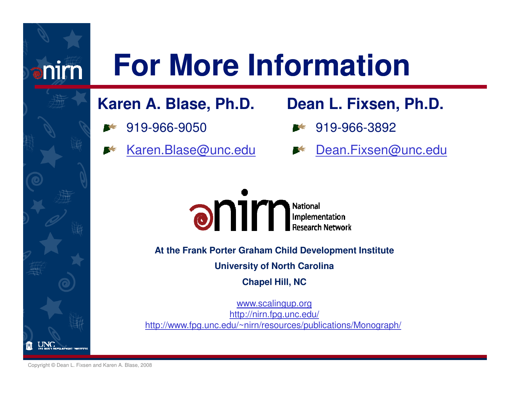# **For More Information**

#### **Karen A. Blase, Ph.D.**

- 919-966-9050
- Karen.Blase@unc.edu

#### **Dean L. Fixsen, Ph.D.**

- 919-966-3892
	- Dean.Fixsen@unc.edu



**At the Frank Porter Graham Child Development Institute**

**University of North Carolina**

**Chapel Hill, NC**

www.scalingup.org http://nirn.fpg.unc.edu/http://www.fpg.unc.edu/~nirn/resources/publications/Monograph/

Copyright © Dean L. Fixsen and Karen A. Blase, 2008

nim